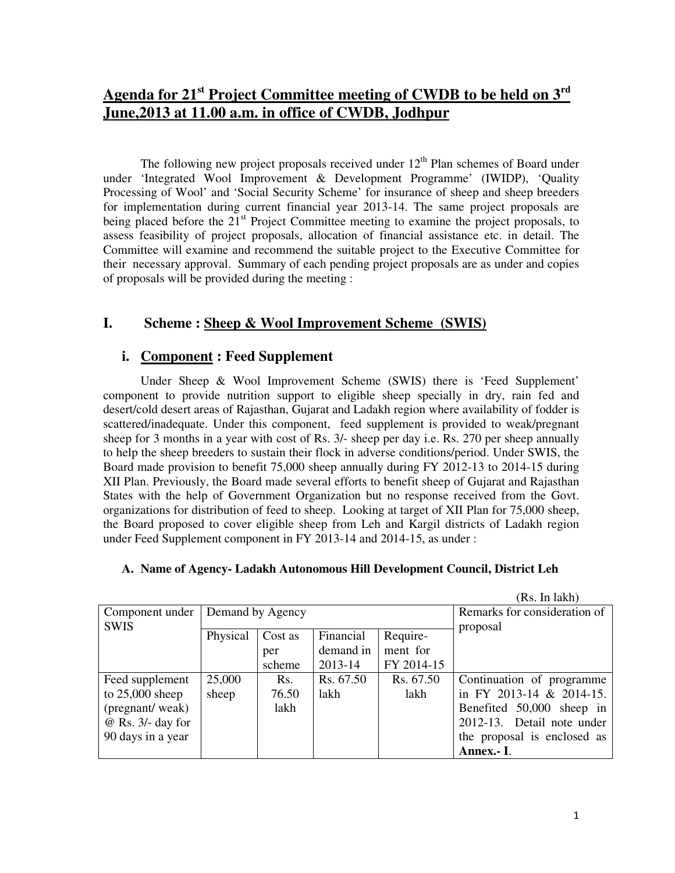# **Agenda for 21st Project Committee meeting of CWDB to be held on 3rd June,2013 at 11.00 a.m. in office of CWDB, Jodhpur**

The following new project proposals received under  $12<sup>th</sup>$  Plan schemes of Board under under 'Integrated Wool Improvement & Development Programme' (IWIDP), 'Quality Processing of Wool' and 'Social Security Scheme' for insurance of sheep and sheep breeders for implementation during current financial year 2013-14. The same project proposals are being placed before the 21<sup>st</sup> Project Committee meeting to examine the project proposals, to assess feasibility of project proposals, allocation of financial assistance etc. in detail. The Committee will examine and recommend the suitable project to the Executive Committee for their necessary approval. Summary of each pending project proposals are as under and copies of proposals will be provided during the meeting :

## **I. Scheme : Sheep & Wool Improvement Scheme (SWIS)**

## **i. Component : Feed Supplement**

 Under Sheep & Wool Improvement Scheme (SWIS) there is 'Feed Supplement' component to provide nutrition support to eligible sheep specially in dry, rain fed and desert/cold desert areas of Rajasthan, Gujarat and Ladakh region where availability of fodder is scattered/inadequate. Under this component, feed supplement is provided to weak/pregnant sheep for 3 months in a year with cost of Rs. 3/- sheep per day i.e. Rs. 270 per sheep annually to help the sheep breeders to sustain their flock in adverse conditions/period. Under SWIS, the Board made provision to benefit 75,000 sheep annually during FY 2012-13 to 2014-15 during XII Plan. Previously, the Board made several efforts to benefit sheep of Gujarat and Rajasthan States with the help of Government Organization but no response received from the Govt. organizations for distribution of feed to sheep. Looking at target of XII Plan for 75,000 sheep, the Board proposed to cover eligible sheep from Leh and Kargil districts of Ladakh region under Feed Supplement component in FY 2013-14 and 2014-15, as under :

### **A. Name of Agency- Ladakh Autonomous Hill Development Council, District Leh**

|                     |                  |         |           |            | (Rs. In lakh)                |
|---------------------|------------------|---------|-----------|------------|------------------------------|
| Component under     | Demand by Agency |         |           |            | Remarks for consideration of |
| <b>SWIS</b>         |                  |         |           |            | proposal                     |
|                     | Physical         | Cost as | Financial | Require-   |                              |
|                     |                  | per     | demand in | ment for   |                              |
|                     |                  | scheme  | 2013-14   | FY 2014-15 |                              |
| Feed supplement     | 25,000           | Rs.     | Rs. 67.50 | Rs. 67.50  | Continuation of programme.   |
| to $25,000$ sheep   | sheep            | 76.50   | lakh      | lakh       | in FY 2013-14 & 2014-15.     |
| (pregnant/weak)     |                  | lakh    |           |            | Benefited 50,000 sheep in    |
| $@$ Rs. 3/- day for |                  |         |           |            | 2012-13. Detail note under   |
| 90 days in a year   |                  |         |           |            | the proposal is enclosed as  |
|                     |                  |         |           |            | Annex.- I.                   |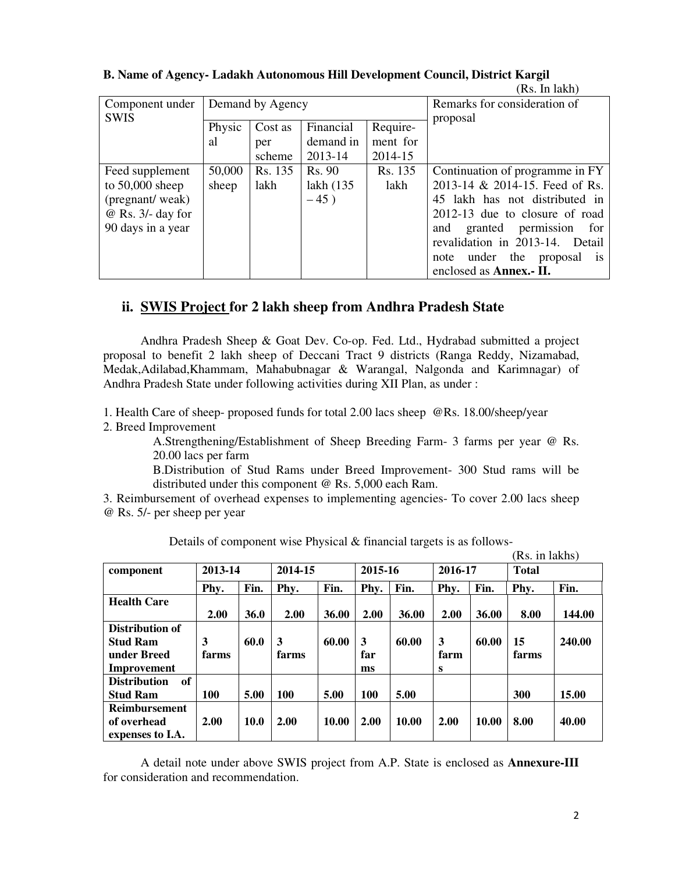|                     |        |                  |              |          | $\mathbf{1}$                                |
|---------------------|--------|------------------|--------------|----------|---------------------------------------------|
| Component under     |        | Demand by Agency |              |          | Remarks for consideration of                |
| <b>SWIS</b>         |        |                  |              |          | proposal                                    |
|                     | Physic | Cost as          | Financial    | Require- |                                             |
|                     | al     | per              | demand in    | ment for |                                             |
|                     |        | scheme           | 2013-14      | 2014-15  |                                             |
| Feed supplement     | 50,000 | Rs. 135          | Rs. 90       | Rs. 135  | Continuation of programme in FY             |
| to $50,000$ sheep   | sheep  | lakh             | lakh $(135)$ | lakh     | 2013-14 & 2014-15. Feed of Rs.              |
| (pregnant/weak)     |        |                  | $-45)$       |          | 45 lakh has not distributed in              |
| $@$ Rs. 3/- day for |        |                  |              |          | 2012-13 due to closure of road              |
| 90 days in a year   |        |                  |              |          | granted permission<br>and<br>for            |
|                     |        |                  |              |          | revalidation in 2013-14. Detail             |
|                     |        |                  |              |          | under the proposal<br>note<br><sup>is</sup> |
|                     |        |                  |              |          | enclosed as <b>Annex.</b> - II.             |

### **B. Name of Agency- Ladakh Autonomous Hill Development Council, District Kargil**

## **ii. SWIS Project for 2 lakh sheep from Andhra Pradesh State**

 Andhra Pradesh Sheep & Goat Dev. Co-op. Fed. Ltd., Hydrabad submitted a project proposal to benefit 2 lakh sheep of Deccani Tract 9 districts (Ranga Reddy, Nizamabad, Medak,Adilabad,Khammam, Mahabubnagar & Warangal, Nalgonda and Karimnagar) of Andhra Pradesh State under following activities during XII Plan, as under :

1. Health Care of sheep- proposed funds for total 2.00 lacs sheep @Rs. 18.00/sheep/year

2. Breed Improvement

A.Strengthening/Establishment of Sheep Breeding Farm- 3 farms per year @ Rs. 20.00 lacs per farm

B.Distribution of Stud Rams under Breed Improvement- 300 Stud rams will be distributed under this component @ Rs. 5,000 each Ram.

3. Reimbursement of overhead expenses to implementing agencies- To cover 2.00 lacs sheep @ Rs. 5/- per sheep per year

|                                 |         |             |         |       |         |       |         |       | (Rs. 1n lakhs) |        |
|---------------------------------|---------|-------------|---------|-------|---------|-------|---------|-------|----------------|--------|
| component                       | 2013-14 |             | 2014-15 |       | 2015-16 |       | 2016-17 |       | <b>Total</b>   |        |
|                                 | Phy.    | Fin.        | Phy.    | Fin.  | Phy.    | Fin.  | Phy.    | Fin.  | Phy.           | Fin.   |
| <b>Health Care</b>              | 2.00    | <b>36.0</b> | 2.00    | 36.00 | 2.00    | 36.00 | 2.00    | 36.00 | 8.00           | 144.00 |
| <b>Distribution of</b>          |         |             |         |       |         |       |         |       |                |        |
| <b>Stud Ram</b>                 | 3       | 60.0        | 3       | 60.00 | 3       | 60.00 | 3       | 60.00 | 15             | 240.00 |
| under Breed                     | farms   |             | farms   |       | far     |       | farm    |       | farms          |        |
| Improvement                     |         |             |         |       | ms      |       | S       |       |                |        |
| of<br><b>Distribution</b>       |         |             |         |       |         |       |         |       |                |        |
| <b>Stud Ram</b>                 | 100     | 5.00        | 100     | 5.00  | 100     | 5.00  |         |       | 300            | 15.00  |
| <b>Reimbursement</b>            |         |             |         |       |         |       |         |       |                |        |
| of overhead<br>expenses to I.A. | 2.00    | <b>10.0</b> | 2.00    | 10.00 | 2.00    | 10.00 | 2.00    | 10.00 | 8.00           | 40.00  |

Details of component wise Physical & financial targets is as follows-

 A detail note under above SWIS project from A.P. State is enclosed as **Annexure-III** for consideration and recommendation.

 $\mathbf{r}$  in late  $\mathbf{r}$ 

(Rs. In lakh)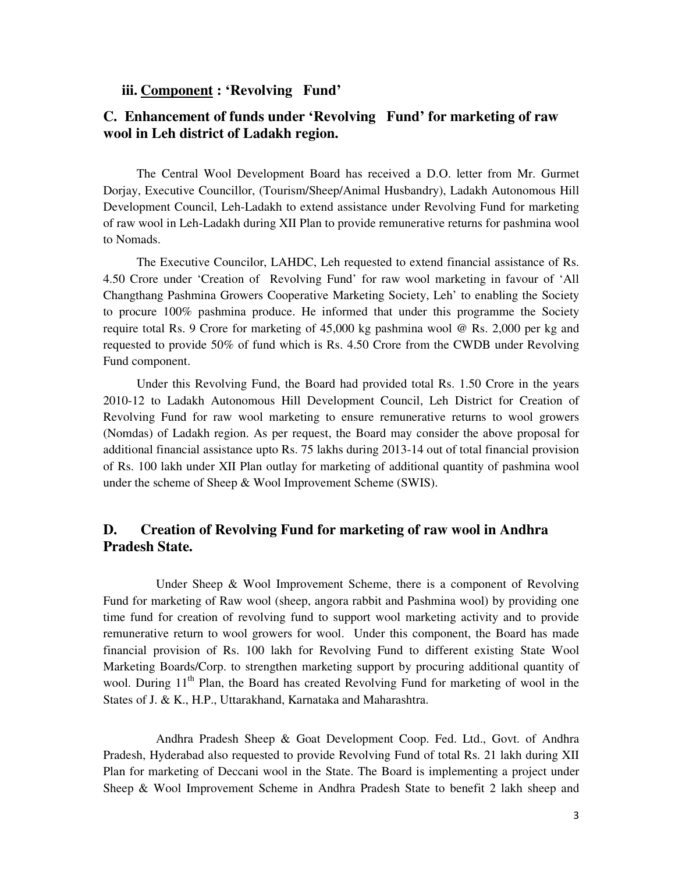### **iii. Component : 'Revolving Fund'**

## **C. Enhancement of funds under 'Revolving Fund' for marketing of raw wool in Leh district of Ladakh region.**

 The Central Wool Development Board has received a D.O. letter from Mr. Gurmet Dorjay, Executive Councillor, (Tourism/Sheep/Animal Husbandry), Ladakh Autonomous Hill Development Council, Leh-Ladakh to extend assistance under Revolving Fund for marketing of raw wool in Leh-Ladakh during XII Plan to provide remunerative returns for pashmina wool to Nomads.

 The Executive Councilor, LAHDC, Leh requested to extend financial assistance of Rs. 4.50 Crore under 'Creation of Revolving Fund' for raw wool marketing in favour of 'All Changthang Pashmina Growers Cooperative Marketing Society, Leh' to enabling the Society to procure 100% pashmina produce. He informed that under this programme the Society require total Rs. 9 Crore for marketing of 45,000 kg pashmina wool @ Rs. 2,000 per kg and requested to provide 50% of fund which is Rs. 4.50 Crore from the CWDB under Revolving Fund component.

 Under this Revolving Fund, the Board had provided total Rs. 1.50 Crore in the years 2010-12 to Ladakh Autonomous Hill Development Council, Leh District for Creation of Revolving Fund for raw wool marketing to ensure remunerative returns to wool growers (Nomdas) of Ladakh region. As per request, the Board may consider the above proposal for additional financial assistance upto Rs. 75 lakhs during 2013-14 out of total financial provision of Rs. 100 lakh under XII Plan outlay for marketing of additional quantity of pashmina wool under the scheme of Sheep & Wool Improvement Scheme (SWIS).

## **D. Creation of Revolving Fund for marketing of raw wool in Andhra Pradesh State.**

 Under Sheep & Wool Improvement Scheme, there is a component of Revolving Fund for marketing of Raw wool (sheep, angora rabbit and Pashmina wool) by providing one time fund for creation of revolving fund to support wool marketing activity and to provide remunerative return to wool growers for wool. Under this component, the Board has made financial provision of Rs. 100 lakh for Revolving Fund to different existing State Wool Marketing Boards/Corp. to strengthen marketing support by procuring additional quantity of wool. During  $11<sup>th</sup>$  Plan, the Board has created Revolving Fund for marketing of wool in the States of J. & K., H.P., Uttarakhand, Karnataka and Maharashtra.

 Andhra Pradesh Sheep & Goat Development Coop. Fed. Ltd., Govt. of Andhra Pradesh, Hyderabad also requested to provide Revolving Fund of total Rs. 21 lakh during XII Plan for marketing of Deccani wool in the State. The Board is implementing a project under Sheep & Wool Improvement Scheme in Andhra Pradesh State to benefit 2 lakh sheep and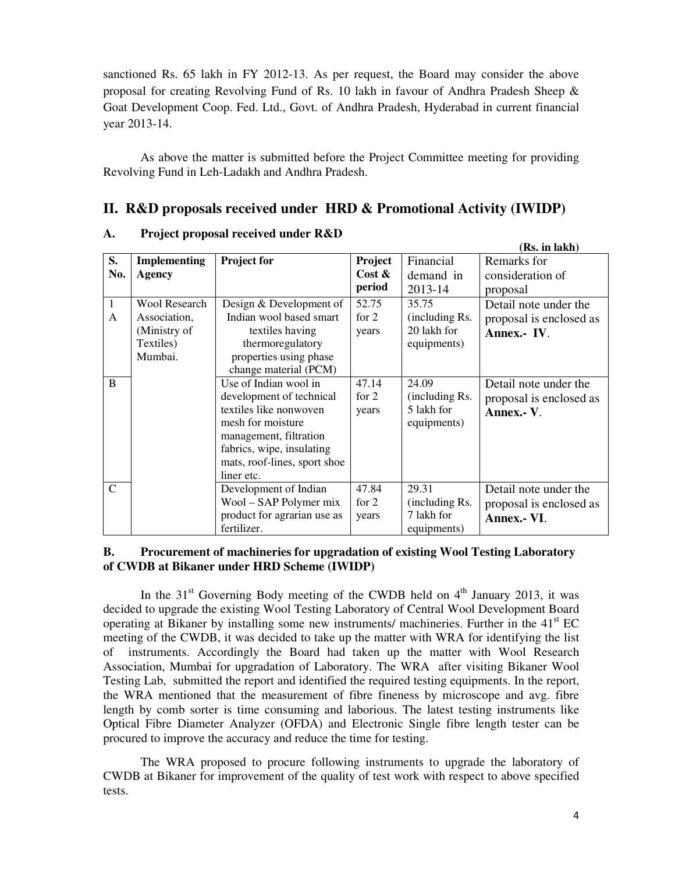sanctioned Rs. 65 lakh in FY 2012-13. As per request, the Board may consider the above proposal for creating Revolving Fund of Rs. 10 lakh in favour of Andhra Pradesh Sheep & Goat Development Coop. Fed. Ltd., Govt. of Andhra Pradesh, Hyderabad in current financial year 2013-14.

 As above the matter is submitted before the Project Committee meeting for providing Revolving Fund in Leh-Ladakh and Andhra Pradesh.

## **II. R&D proposals received under HRD & Promotional Activity (IWIDP)**

|                |                      |                              |           |                | (Rs. in lakh)           |
|----------------|----------------------|------------------------------|-----------|----------------|-------------------------|
| S.             | <b>Implementing</b>  | <b>Project for</b>           | Project   | Financial      | Remarks for             |
| No.            | <b>Agency</b>        |                              | Cost $\&$ | demand in      | consideration of        |
|                |                      |                              | period    | 2013-14        | proposal                |
| $\mathbf{1}$   | <b>Wool Research</b> | Design & Development of      | 52.75     | 35.75          | Detail note under the   |
| A              | Association,         | Indian wool based smart      | for $2$   | (including Rs. | proposal is enclosed as |
|                | (Ministry of         | textiles having              | years     | 20 lakh for    | Annex.- IV.             |
|                | Textiles)            | thermoregulatory             |           | equipments)    |                         |
|                | Mumbai.              | properties using phase       |           |                |                         |
|                |                      | change material (PCM)        |           |                |                         |
| <sub>B</sub>   |                      | Use of Indian wool in        | 47.14     | 24.09          | Detail note under the   |
|                |                      | development of technical     | for $2$   | (including Rs. | proposal is enclosed as |
|                |                      | textiles like nonwoven       | years     | 5 lakh for     | Annex.- V.              |
|                |                      | mesh for moisture            |           | equipments)    |                         |
|                |                      | management, filtration       |           |                |                         |
|                |                      | fabrics, wipe, insulating    |           |                |                         |
|                |                      | mats, roof-lines, sport shoe |           |                |                         |
|                |                      | liner etc.                   |           |                |                         |
| $\overline{C}$ |                      | Development of Indian        | 47.84     | 29.31          | Detail note under the   |
|                |                      | Wool – SAP Polymer mix       | for $2$   | (including Rs. | proposal is enclosed as |
|                |                      | product for agrarian use as  | years     | 7 lakh for     | Annex.- VI.             |
|                |                      | fertilizer.                  |           | equipments)    |                         |

#### **A. Project proposal received under R&D**

#### **B. Procurement of machineries for upgradation of existing Wool Testing Laboratory of CWDB at Bikaner under HRD Scheme (IWIDP)**

In the  $31<sup>st</sup>$  Governing Body meeting of the CWDB held on  $4<sup>th</sup>$  January 2013, it was decided to upgrade the existing Wool Testing Laboratory of Central Wool Development Board operating at Bikaner by installing some new instruments/ machineries. Further in the  $41<sup>st</sup> EC$ meeting of the CWDB, it was decided to take up the matter with WRA for identifying the list of instruments. Accordingly the Board had taken up the matter with Wool Research Association, Mumbai for upgradation of Laboratory. The WRA after visiting Bikaner Wool Testing Lab, submitted the report and identified the required testing equipments. In the report, the WRA mentioned that the measurement of fibre fineness by microscope and avg. fibre length by comb sorter is time consuming and laborious. The latest testing instruments like Optical Fibre Diameter Analyzer (OFDA) and Electronic Single fibre length tester can be procured to improve the accuracy and reduce the time for testing.

The WRA proposed to procure following instruments to upgrade the laboratory of CWDB at Bikaner for improvement of the quality of test work with respect to above specified tests.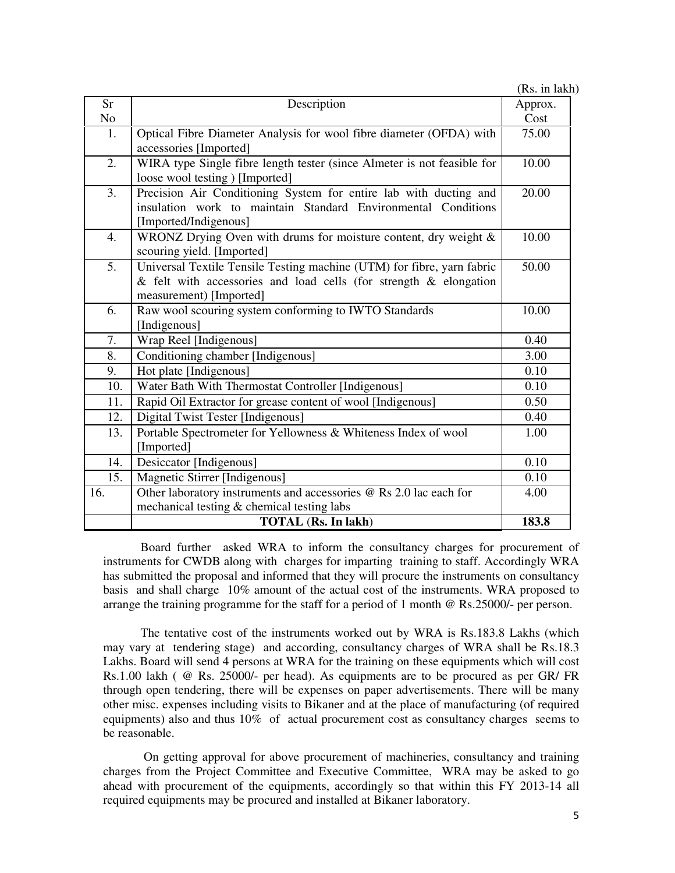|                |                                                                         | (Rs. in lakh) |
|----------------|-------------------------------------------------------------------------|---------------|
| <b>Sr</b>      | Description                                                             | Approx.       |
| N <sub>o</sub> |                                                                         | Cost          |
| 1.             | Optical Fibre Diameter Analysis for wool fibre diameter (OFDA) with     | 75.00         |
|                | accessories [Imported]                                                  |               |
| 2.             | WIRA type Single fibre length tester (since Almeter is not feasible for | 10.00         |
|                | loose wool testing ) [Imported]                                         |               |
| 3.             | Precision Air Conditioning System for entire lab with ducting and       | 20.00         |
|                | insulation work to maintain Standard Environmental Conditions           |               |
|                | [Imported/Indigenous]                                                   |               |
| 4.             | WRONZ Drying Oven with drums for moisture content, dry weight $\&$      | 10.00         |
|                | scouring yield. [Imported]                                              |               |
| 5.             | Universal Textile Tensile Testing machine (UTM) for fibre, yarn fabric  | 50.00         |
|                | $&$ felt with accessories and load cells (for strength $&$ elongation   |               |
|                | measurement) [Imported]                                                 |               |
| 6.             | Raw wool scouring system conforming to IWTO Standards                   | 10.00         |
|                | [Indigenous]                                                            |               |
| 7.             | Wrap Reel [Indigenous]                                                  | 0.40          |
| 8.             | Conditioning chamber [Indigenous]                                       | 3.00          |
| 9.             | Hot plate [Indigenous]                                                  | 0.10          |
| 10.            | Water Bath With Thermostat Controller [Indigenous]                      | 0.10          |
| 11.            | Rapid Oil Extractor for grease content of wool [Indigenous]             | 0.50          |
| 12.            | Digital Twist Tester [Indigenous]                                       | 0.40          |
| 13.            | Portable Spectrometer for Yellowness & Whiteness Index of wool          | 1.00          |
|                | [Imported]                                                              |               |
| 14.            | Desiccator [Indigenous]                                                 | 0.10          |
| 15.            | Magnetic Stirrer [Indigenous]                                           | 0.10          |
| 16.            | Other laboratory instruments and accessories @ Rs 2.0 lac each for      | 4.00          |
|                | mechanical testing & chemical testing labs                              |               |
|                | <b>TOTAL</b> (Rs. In lakh)                                              | 183.8         |

Board further asked WRA to inform the consultancy charges for procurement of instruments for CWDB along with charges for imparting training to staff. Accordingly WRA has submitted the proposal and informed that they will procure the instruments on consultancy basis and shall charge 10% amount of the actual cost of the instruments. WRA proposed to arrange the training programme for the staff for a period of 1 month @ Rs.25000/- per person.

The tentative cost of the instruments worked out by WRA is Rs.183.8 Lakhs (which may vary at tendering stage) and according, consultancy charges of WRA shall be Rs.18.3 Lakhs. Board will send 4 persons at WRA for the training on these equipments which will cost Rs.1.00 lakh ( @ Rs. 25000/- per head). As equipments are to be procured as per GR/ FR through open tendering, there will be expenses on paper advertisements. There will be many other misc. expenses including visits to Bikaner and at the place of manufacturing (of required equipments) also and thus 10% of actual procurement cost as consultancy charges seems to be reasonable.

 On getting approval for above procurement of machineries, consultancy and training charges from the Project Committee and Executive Committee, WRA may be asked to go ahead with procurement of the equipments, accordingly so that within this FY 2013-14 all required equipments may be procured and installed at Bikaner laboratory.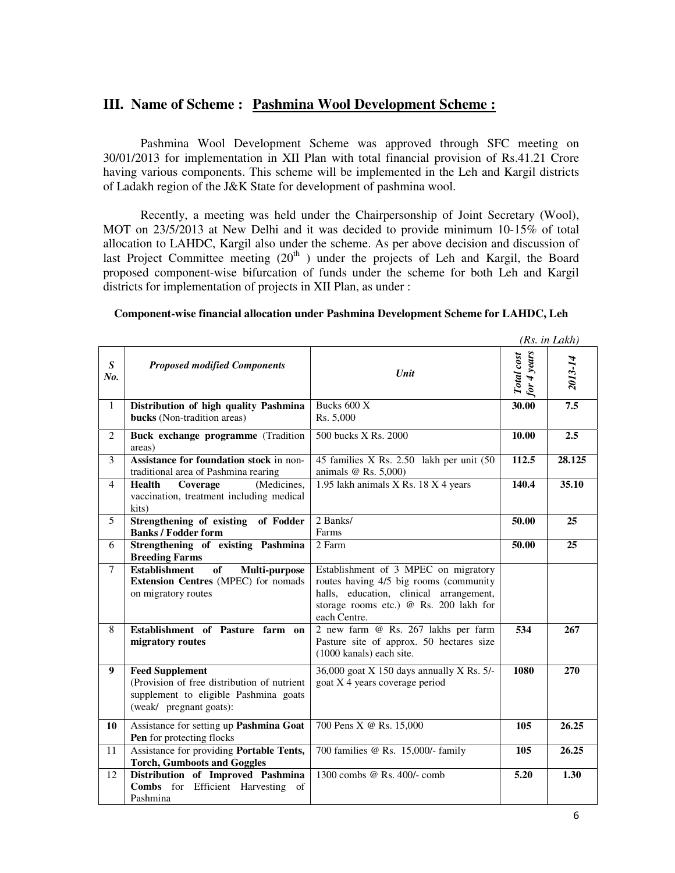## **III. Name of Scheme : Pashmina Wool Development Scheme :**

Pashmina Wool Development Scheme was approved through SFC meeting on 30/01/2013 for implementation in XII Plan with total financial provision of Rs.41.21 Crore having various components. This scheme will be implemented in the Leh and Kargil districts of Ladakh region of the J&K State for development of pashmina wool.

Recently, a meeting was held under the Chairpersonship of Joint Secretary (Wool), MOT on 23/5/2013 at New Delhi and it was decided to provide minimum 10-15% of total allocation to LAHDC, Kargil also under the scheme. As per above decision and discussion of last Project Committee meeting  $(20<sup>th</sup>)$  under the projects of Leh and Kargil, the Board proposed component-wise bifurcation of funds under the scheme for both Leh and Kargil districts for implementation of projects in XII Plan, as under :

|                         |                                                                                                                                           |                                                                                                                                                                                     |                           | (Rs. in Lakh) |
|-------------------------|-------------------------------------------------------------------------------------------------------------------------------------------|-------------------------------------------------------------------------------------------------------------------------------------------------------------------------------------|---------------------------|---------------|
| $\boldsymbol{S}$<br>No. | <b>Proposed modified Components</b>                                                                                                       | Unit                                                                                                                                                                                | for 4 years<br>Total cost | 2013-14       |
| 1                       | Distribution of high quality Pashmina<br>bucks (Non-tradition areas)                                                                      | Bucks 600 X<br>Rs. 5,000                                                                                                                                                            | 30.00                     | 7.5           |
| 2                       | Buck exchange programme (Tradition<br>areas)                                                                                              | 500 bucks X Rs. 2000                                                                                                                                                                | 10.00                     | 2.5           |
| 3                       | Assistance for foundation stock in non-<br>traditional area of Pashmina rearing                                                           | 45 families X Rs. 2.50 lakh per unit (50<br>animals $@$ Rs. 5,000)                                                                                                                  | 112.5                     | 28.125        |
| $\overline{4}$          | <b>Health</b><br>Coverage<br>(Medicines,<br>vaccination, treatment including medical<br>kits)                                             | 1.95 lakh animals X Rs. 18 X 4 years                                                                                                                                                | 140.4                     | 35.10         |
| 5                       | Strengthening of existing<br>of Fodder<br><b>Banks / Fodder form</b>                                                                      | 2 Banks/<br>Farms                                                                                                                                                                   | 50.00                     | 25            |
| 6                       | Strengthening of existing Pashmina<br><b>Breeding Farms</b>                                                                               | 2 Farm                                                                                                                                                                              | 50.00                     | 25            |
| $\tau$                  | <b>Establishment</b><br>of<br>Multi-purpose<br>Extension Centres (MPEC) for nomads<br>on migratory routes                                 | Establishment of 3 MPEC on migratory<br>routes having 4/5 big rooms (community<br>halls, education, clinical arrangement,<br>storage rooms etc.) @ Rs. 200 lakh for<br>each Centre. |                           |               |
| 8                       | Establishment of Pasture farm on<br>migratory routes                                                                                      | 2 new farm @ Rs. 267 lakhs per farm<br>Pasture site of approx. 50 hectares size<br>(1000 kanals) each site.                                                                         | 534                       | 267           |
| 9                       | <b>Feed Supplement</b><br>(Provision of free distribution of nutrient<br>supplement to eligible Pashmina goats<br>(weak/ pregnant goats): | 36,000 goat X 150 days annually X Rs. 5/-<br>goat X 4 years coverage period                                                                                                         | 1080                      | 270           |
| 10                      | Assistance for setting up Pashmina Goat<br>Pen for protecting flocks                                                                      | 700 Pens X @ Rs. 15,000                                                                                                                                                             | 105                       | 26.25         |
| 11                      | Assistance for providing Portable Tents,<br><b>Torch, Gumboots and Goggles</b>                                                            | 700 families @ Rs. 15,000/- family                                                                                                                                                  | 105                       | 26.25         |
| 12                      | Distribution of Improved Pashmina<br>Combs for Efficient Harvesting of<br>Pashmina                                                        | 1300 combs @ Rs. 400/- comb                                                                                                                                                         | 5.20                      | 1.30          |

**Component-wise financial allocation under Pashmina Development Scheme for LAHDC, Leh**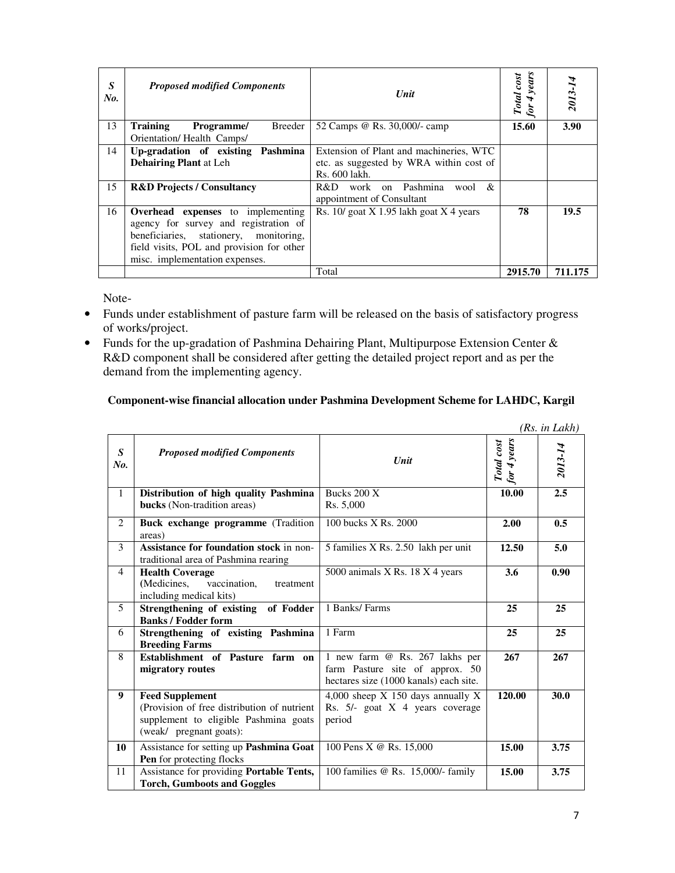| S<br>No. | <b>Proposed modified Components</b>                                                                                                                                                                           | Unit                                                               | years<br>Total cost<br>for | 2013-14 |
|----------|---------------------------------------------------------------------------------------------------------------------------------------------------------------------------------------------------------------|--------------------------------------------------------------------|----------------------------|---------|
| 13       | <b>Training</b><br>Breeder<br>Programme/                                                                                                                                                                      | 52 Camps @ Rs. 30,000/- camp                                       | 15.60                      | 3.90    |
|          | Orientation/Health Camps/                                                                                                                                                                                     |                                                                    |                            |         |
| 14       | Pashmina<br>Up-gradation of existing                                                                                                                                                                          | Extension of Plant and machineries, WTC                            |                            |         |
|          | <b>Dehairing Plant at Leh</b>                                                                                                                                                                                 | etc. as suggested by WRA within cost of                            |                            |         |
|          |                                                                                                                                                                                                               | Rs. 600 lakh.                                                      |                            |         |
| 15       | <b>R&amp;D Projects / Consultancy</b>                                                                                                                                                                         | work on Pashmina<br>R&D.<br>&<br>wool<br>appointment of Consultant |                            |         |
| 16       | <b>Overhead</b> expenses to implementing<br>agency for survey and registration of<br>beneficiaries,<br>stationery, monitoring,<br>field visits, POL and provision for other<br>misc. implementation expenses. | Rs. $10$ goat X 1.95 lakh goat X 4 years                           | 78                         | 19.5    |
|          |                                                                                                                                                                                                               | Total                                                              | 2915.70                    | 711.175 |

Note-

- Funds under establishment of pasture farm will be released on the basis of satisfactory progress of works/project.
- Funds for the up-gradation of Pashmina Dehairing Plant, Multipurpose Extension Center & R&D component shall be considered after getting the detailed project report and as per the demand from the implementing agency.

### **Component-wise financial allocation under Pashmina Development Scheme for LAHDC, Kargil**

|                         |                                                                                                                                            |                                                                                                             |                           | (Rs. in Lakh) |
|-------------------------|--------------------------------------------------------------------------------------------------------------------------------------------|-------------------------------------------------------------------------------------------------------------|---------------------------|---------------|
| $\boldsymbol{S}$<br>No. | <b>Proposed modified Components</b>                                                                                                        | Unit                                                                                                        | Total cost<br>for 4 years | 2013-14       |
| $\mathbf{1}$            | Distribution of high quality Pashmina<br>bucks (Non-tradition areas)                                                                       | Bucks $200X$<br>Rs. 5,000                                                                                   | 10.00                     | 2.5           |
| $\overline{2}$          | Buck exchange programme (Tradition<br>areas)                                                                                               | 100 bucks X Rs. 2000                                                                                        | 2.00                      | 0.5           |
| 3                       | Assistance for foundation stock in non-<br>traditional area of Pashmina rearing                                                            | 5 families X Rs. 2.50 lakh per unit                                                                         | 12.50                     | 5.0           |
| 4                       | <b>Health Coverage</b><br>vaccination,<br>(Medicines,<br>treatment<br>including medical kits)                                              | 5000 animals $X$ Rs. 18 $X$ 4 years                                                                         | 3.6                       | 0.90          |
| 5                       | Strengthening of existing of Fodder<br><b>Banks / Fodder form</b>                                                                          | 1 Banks/Farms                                                                                               | 25                        | 25            |
| 6                       | Strengthening of existing Pashmina<br><b>Breeding Farms</b>                                                                                | 1 Farm                                                                                                      | 25                        | 25            |
| 8                       | Establishment of Pasture farm on<br>migratory routes                                                                                       | 1 new farm @ Rs. 267 lakhs per<br>farm Pasture site of approx. 50<br>hectares size (1000 kanals) each site. | 267                       | 267           |
| 9                       | <b>Feed Supplement</b><br>(Provision of free distribution of nutrient)<br>supplement to eligible Pashmina goats<br>(weak/ pregnant goats): | 4,000 sheep $X$ 150 days annually $X$<br>Rs. $5/-$ goat $X \neq$ years coverage<br>period                   | 120.00                    | 30.0          |
| 10                      | Assistance for setting up Pashmina Goat<br>Pen for protecting flocks                                                                       | 100 Pens X @ Rs. 15,000                                                                                     | 15.00                     | 3.75          |
| 11                      | Assistance for providing Portable Tents,<br><b>Torch, Gumboots and Goggles</b>                                                             | 100 families @ Rs. 15,000/- family                                                                          | 15.00                     | 3.75          |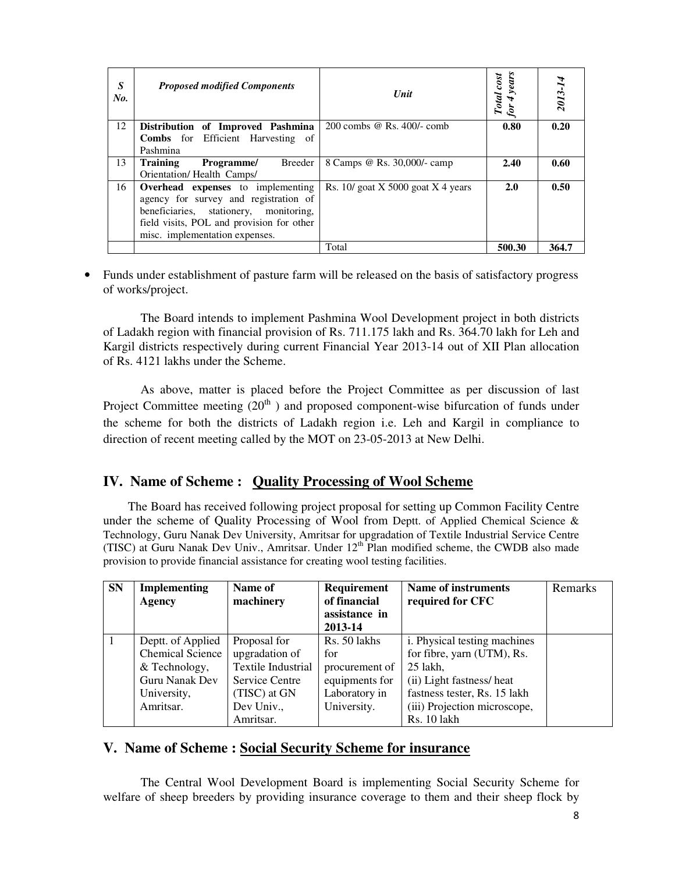| S<br>No. | <b>Proposed modified Components</b>       | Unit                                | Total cost<br>for 4 years | 2013-1 |
|----------|-------------------------------------------|-------------------------------------|---------------------------|--------|
| 12       | Distribution of Improved Pashmina         | $200$ combs @ Rs. $400/-$ comb      | 0.80                      | 0.20   |
|          | <b>Combs</b> for Efficient Harvesting of  |                                     |                           |        |
|          | Pashmina                                  |                                     |                           |        |
| 13       | <b>Training</b><br>Programme/<br>Breeder  | 8 Camps @ Rs. 30,000/- camp         | 2.40                      | 0.60   |
|          | Orientation/Health Camps/                 |                                     |                           |        |
| 16       | <b>Overhead</b> expenses to implementing  | Rs. $10$ goat X 5000 goat X 4 years | 2.0                       | 0.50   |
|          | agency for survey and registration of     |                                     |                           |        |
|          | beneficiaries,<br>stationery, monitoring, |                                     |                           |        |
|          | field visits, POL and provision for other |                                     |                           |        |
|          | misc. implementation expenses.            |                                     |                           |        |
|          |                                           | Total                               | 500.30                    | 364.7  |

• Funds under establishment of pasture farm will be released on the basis of satisfactory progress of works/project.

The Board intends to implement Pashmina Wool Development project in both districts of Ladakh region with financial provision of Rs. 711.175 lakh and Rs. 364.70 lakh for Leh and Kargil districts respectively during current Financial Year 2013-14 out of XII Plan allocation of Rs. 4121 lakhs under the Scheme.

As above, matter is placed before the Project Committee as per discussion of last Project Committee meeting  $(20<sup>th</sup>)$  and proposed component-wise bifurcation of funds under the scheme for both the districts of Ladakh region i.e. Leh and Kargil in compliance to direction of recent meeting called by the MOT on 23-05-2013 at New Delhi.

## **IV. Name of Scheme : Quality Processing of Wool Scheme**

 The Board has received following project proposal for setting up Common Facility Centre under the scheme of Quality Processing of Wool from Deptt. of Applied Chemical Science  $\&$ Technology, Guru Nanak Dev University, Amritsar for upgradation of Textile Industrial Service Centre (TISC) at Guru Nanak Dev Univ., Amritsar. Under  $12<sup>th</sup>$  Plan modified scheme, the CWDB also made provision to provide financial assistance for creating wool testing facilities.

| <b>SN</b> | <b>Implementing</b><br>Agency | Name of<br>machinery      | Requirement<br>of financial<br>assistance in<br>2013-14 | Name of instruments<br>required for CFC | Remarks |
|-----------|-------------------------------|---------------------------|---------------------------------------------------------|-----------------------------------------|---------|
|           | Deptt. of Applied             | Proposal for              | Rs. 50 lakhs                                            | <i>i</i> . Physical testing machines    |         |
|           | <b>Chemical Science</b>       | upgradation of            | for                                                     | for fibre, yarn (UTM), Rs.              |         |
|           | & Technology,                 | <b>Textile Industrial</b> | procurement of                                          | $25$ lakh.                              |         |
|           | <b>Guru Nanak Dev</b>         | Service Centre            | equipments for                                          | (ii) Light fastness/heat                |         |
|           | University,                   | (TISC) at GN              | Laboratory in                                           | fastness tester, Rs. 15 lakh            |         |
|           | Amritsar.                     | Dev Univ.,                | University.                                             | (iii) Projection microscope,            |         |
|           |                               | Amritsar.                 |                                                         | Rs. 10 lakh                             |         |

### **V. Name of Scheme : Social Security Scheme for insurance**

The Central Wool Development Board is implementing Social Security Scheme for welfare of sheep breeders by providing insurance coverage to them and their sheep flock by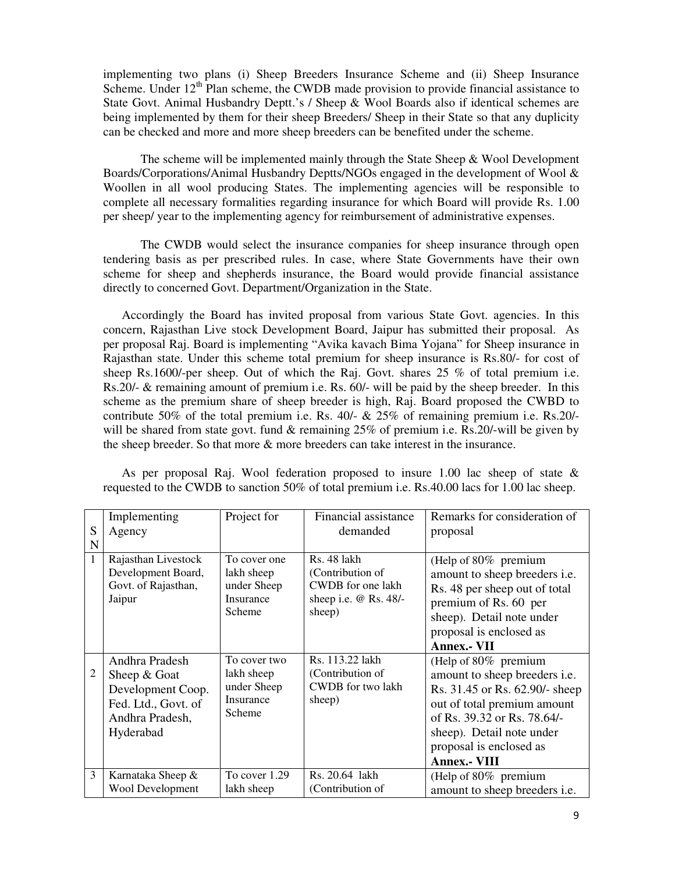implementing two plans (i) Sheep Breeders Insurance Scheme and (ii) Sheep Insurance Scheme. Under  $12<sup>th</sup>$  Plan scheme, the CWDB made provision to provide financial assistance to State Govt. Animal Husbandry Deptt.'s / Sheep & Wool Boards also if identical schemes are being implemented by them for their sheep Breeders/ Sheep in their State so that any duplicity can be checked and more and more sheep breeders can be benefited under the scheme.

The scheme will be implemented mainly through the State Sheep & Wool Development Boards/Corporations/Animal Husbandry Deptts/NGOs engaged in the development of Wool & Woollen in all wool producing States. The implementing agencies will be responsible to complete all necessary formalities regarding insurance for which Board will provide Rs. 1.00 per sheep/ year to the implementing agency for reimbursement of administrative expenses.

The CWDB would select the insurance companies for sheep insurance through open tendering basis as per prescribed rules. In case, where State Governments have their own scheme for sheep and shepherds insurance, the Board would provide financial assistance directly to concerned Govt. Department/Organization in the State.

Accordingly the Board has invited proposal from various State Govt. agencies. In this concern, Rajasthan Live stock Development Board, Jaipur has submitted their proposal. As per proposal Raj. Board is implementing "Avika kavach Bima Yojana" for Sheep insurance in Rajasthan state. Under this scheme total premium for sheep insurance is Rs.80/- for cost of sheep Rs.1600/-per sheep. Out of which the Raj. Govt. shares  $25\%$  of total premium i.e. Rs.20/- & remaining amount of premium i.e. Rs. 60/- will be paid by the sheep breeder. In this scheme as the premium share of sheep breeder is high, Raj. Board proposed the CWBD to contribute 50% of the total premium i.e. Rs. 40/- & 25% of remaining premium i.e. Rs.20/ will be shared from state govt. fund & remaining 25% of premium i.e. Rs.20/-will be given by the sheep breeder. So that more & more breeders can take interest in the insurance.

| S | Implementing                                                                                               | Project for                                                             | Financial assistance                                                                           | Remarks for consideration of                                                                                                                                                                                                                |
|---|------------------------------------------------------------------------------------------------------------|-------------------------------------------------------------------------|------------------------------------------------------------------------------------------------|---------------------------------------------------------------------------------------------------------------------------------------------------------------------------------------------------------------------------------------------|
| N | Agency                                                                                                     |                                                                         | demanded                                                                                       | proposal                                                                                                                                                                                                                                    |
| 1 | Rajasthan Livestock<br>Development Board,<br>Govt. of Rajasthan,<br>Jaipur                                 | To cover one<br>lakh sheep<br>under Sheep<br><b>Insurance</b><br>Scheme | <b>Rs. 48 lakh</b><br>(Contribution of<br>CWDB for one lakh<br>sheep i.e. @ Rs. 48/-<br>sheep) | (Help of $80\%$ premium<br>amount to sheep breeders <i>i.e.</i><br>Rs. 48 per sheep out of total<br>premium of Rs. 60 per<br>sheep). Detail note under<br>proposal is enclosed as<br><b>Annex.- VII</b>                                     |
|   | Andhra Pradesh<br>Sheep & Goat<br>Development Coop.<br>Fed. Ltd., Govt. of<br>Andhra Pradesh,<br>Hyderabad | To cover two<br>lakh sheep<br>under Sheep<br>Insurance<br>Scheme        | Rs. 113.22 lakh<br>(Contribution of<br><b>CWDB</b> for two lakh<br>sheep)                      | (Help of 80% premium<br>amount to sheep breeders <i>i.e.</i><br>Rs. 31.45 or Rs. 62.90/- sheep<br>out of total premium amount<br>of Rs. 39.32 or Rs. 78.64/-<br>sheep). Detail note under<br>proposal is enclosed as<br><b>Annex.- VIII</b> |
| 3 | Karnataka Sheep &                                                                                          | To cover 1.29                                                           | Rs. 20.64 lakh                                                                                 | (Help of 80% premium                                                                                                                                                                                                                        |
|   | <b>Wool Development</b>                                                                                    | lakh sheep                                                              | (Contribution of                                                                               | amount to sheep breeders <i>i.e.</i>                                                                                                                                                                                                        |

As per proposal Raj. Wool federation proposed to insure 1.00 lac sheep of state & requested to the CWDB to sanction 50% of total premium i.e. Rs.40.00 lacs for 1.00 lac sheep.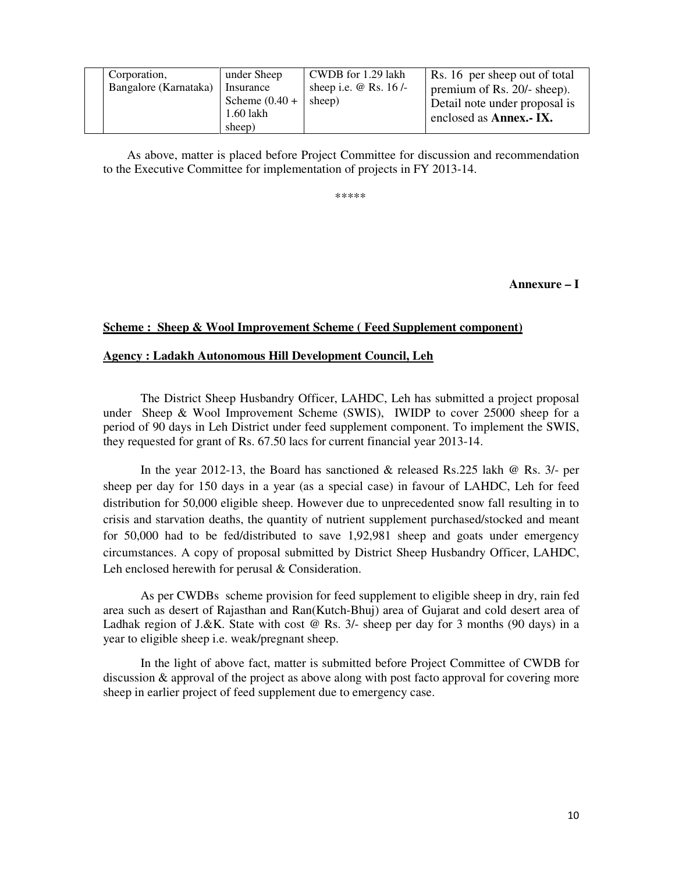| Corporation,          | under Sheep      | CWDB for 1.29 lakh           | Rs. 16 per sheep out of total |
|-----------------------|------------------|------------------------------|-------------------------------|
| Bangalore (Karnataka) | Insurance        | sheep i.e. $\omega$ Rs. 16/- | premium of Rs. 20/- sheep).   |
|                       | Scheme $(0.40 +$ | sheep)                       | Detail note under proposal is |
|                       | 1.60 lakh        |                              | enclosed as <b>Annex.</b> IX. |
|                       | sheep)           |                              |                               |

 As above, matter is placed before Project Committee for discussion and recommendation to the Executive Committee for implementation of projects in FY 2013-14.

\*\*\*\*\*

**Annexure – I** 

#### **Scheme : Sheep & Wool Improvement Scheme ( Feed Supplement component)**

#### **Agency : Ladakh Autonomous Hill Development Council, Leh**

I

 The District Sheep Husbandry Officer, LAHDC, Leh has submitted a project proposal under Sheep & Wool Improvement Scheme (SWIS), IWIDP to cover 25000 sheep for a period of 90 days in Leh District under feed supplement component. To implement the SWIS, they requested for grant of Rs. 67.50 lacs for current financial year 2013-14.

 In the year 2012-13, the Board has sanctioned & released Rs.225 lakh @ Rs. 3/- per sheep per day for 150 days in a year (as a special case) in favour of LAHDC, Leh for feed distribution for 50,000 eligible sheep. However due to unprecedented snow fall resulting in to crisis and starvation deaths, the quantity of nutrient supplement purchased/stocked and meant for 50,000 had to be fed/distributed to save 1,92,981 sheep and goats under emergency circumstances. A copy of proposal submitted by District Sheep Husbandry Officer, LAHDC, Leh enclosed herewith for perusal & Consideration.

 As per CWDBs scheme provision for feed supplement to eligible sheep in dry, rain fed area such as desert of Rajasthan and Ran(Kutch-Bhuj) area of Gujarat and cold desert area of Ladhak region of J.&K. State with cost @ Rs. 3/- sheep per day for 3 months (90 days) in a year to eligible sheep i.e. weak/pregnant sheep.

 In the light of above fact, matter is submitted before Project Committee of CWDB for discussion & approval of the project as above along with post facto approval for covering more sheep in earlier project of feed supplement due to emergency case.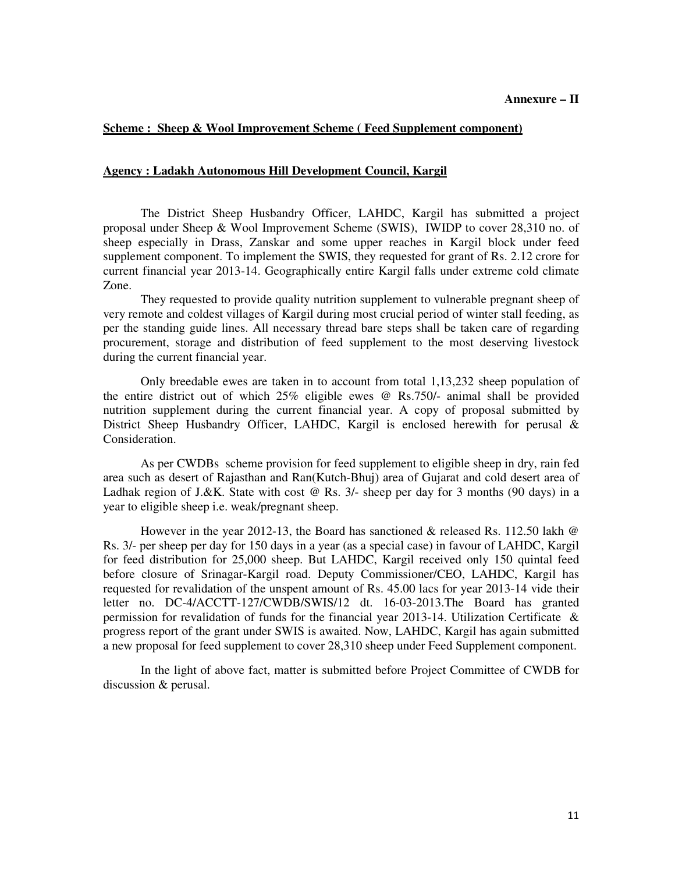#### **Scheme : Sheep & Wool Improvement Scheme ( Feed Supplement component)**

#### **Agency : Ladakh Autonomous Hill Development Council, Kargil**

 The District Sheep Husbandry Officer, LAHDC, Kargil has submitted a project proposal under Sheep & Wool Improvement Scheme (SWIS), IWIDP to cover 28,310 no. of sheep especially in Drass, Zanskar and some upper reaches in Kargil block under feed supplement component. To implement the SWIS, they requested for grant of Rs. 2.12 crore for current financial year 2013-14. Geographically entire Kargil falls under extreme cold climate Zone.

 They requested to provide quality nutrition supplement to vulnerable pregnant sheep of very remote and coldest villages of Kargil during most crucial period of winter stall feeding, as per the standing guide lines. All necessary thread bare steps shall be taken care of regarding procurement, storage and distribution of feed supplement to the most deserving livestock during the current financial year.

 Only breedable ewes are taken in to account from total 1,13,232 sheep population of the entire district out of which 25% eligible ewes @ Rs.750/- animal shall be provided nutrition supplement during the current financial year. A copy of proposal submitted by District Sheep Husbandry Officer, LAHDC, Kargil is enclosed herewith for perusal & Consideration.

 As per CWDBs scheme provision for feed supplement to eligible sheep in dry, rain fed area such as desert of Rajasthan and Ran(Kutch-Bhuj) area of Gujarat and cold desert area of Ladhak region of J.&K. State with cost @ Rs. 3/- sheep per day for 3 months (90 days) in a year to eligible sheep i.e. weak/pregnant sheep.

 However in the year 2012-13, the Board has sanctioned & released Rs. 112.50 lakh @ Rs. 3/- per sheep per day for 150 days in a year (as a special case) in favour of LAHDC, Kargil for feed distribution for 25,000 sheep. But LAHDC, Kargil received only 150 quintal feed before closure of Srinagar-Kargil road. Deputy Commissioner/CEO, LAHDC, Kargil has requested for revalidation of the unspent amount of Rs. 45.00 lacs for year 2013-14 vide their letter no. DC-4/ACCTT-127/CWDB/SWIS/12 dt. 16-03-2013.The Board has granted permission for revalidation of funds for the financial year 2013-14. Utilization Certificate & progress report of the grant under SWIS is awaited. Now, LAHDC, Kargil has again submitted a new proposal for feed supplement to cover 28,310 sheep under Feed Supplement component.

 In the light of above fact, matter is submitted before Project Committee of CWDB for discussion & perusal.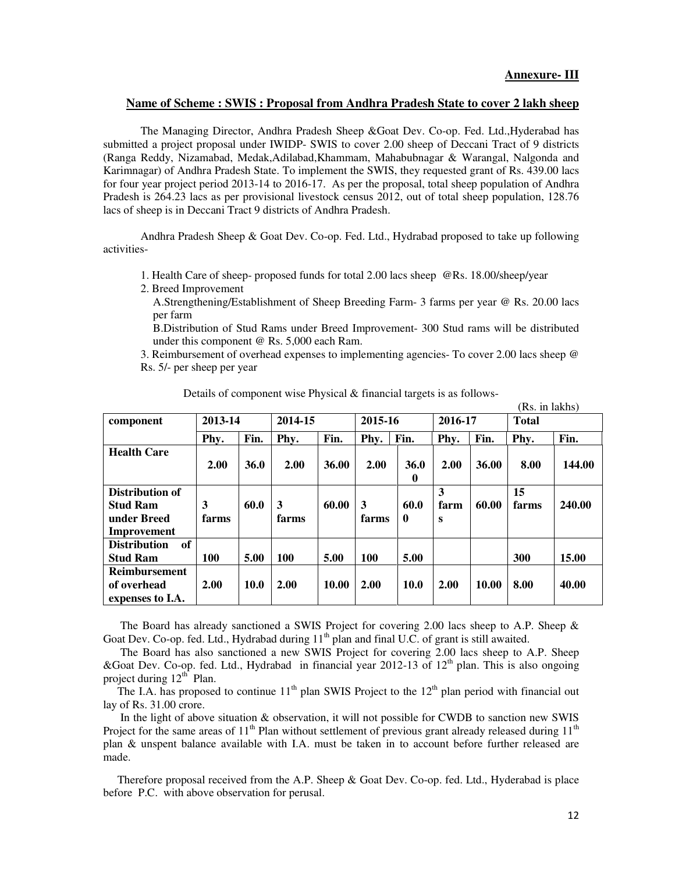#### **Name of Scheme : SWIS : Proposal from Andhra Pradesh State to cover 2 lakh sheep**

 The Managing Director, Andhra Pradesh Sheep &Goat Dev. Co-op. Fed. Ltd.,Hyderabad has submitted a project proposal under IWIDP- SWIS to cover 2.00 sheep of Deccani Tract of 9 districts (Ranga Reddy, Nizamabad, Medak,Adilabad,Khammam, Mahabubnagar & Warangal, Nalgonda and Karimnagar) of Andhra Pradesh State. To implement the SWIS, they requested grant of Rs. 439.00 lacs for four year project period 2013-14 to 2016-17. As per the proposal, total sheep population of Andhra Pradesh is 264.23 lacs as per provisional livestock census 2012, out of total sheep population, 128.76 lacs of sheep is in Deccani Tract 9 districts of Andhra Pradesh.

 Andhra Pradesh Sheep & Goat Dev. Co-op. Fed. Ltd., Hydrabad proposed to take up following activities-

- 1. Health Care of sheep- proposed funds for total 2.00 lacs sheep @Rs. 18.00/sheep/year
- 2. Breed Improvement

A.Strengthening/Establishment of Sheep Breeding Farm- 3 farms per year @ Rs. 20.00 lacs per farm

B.Distribution of Stud Rams under Breed Improvement- 300 Stud rams will be distributed under this component @ Rs. 5,000 each Ram.

3. Reimbursement of overhead expenses to implementing agencies- To cover 2.00 lacs sheep @ Rs. 5/- per sheep per year

|                                                                  |            |             |            |       |            |                         |                |       | (Rs. in lakhs) |        |
|------------------------------------------------------------------|------------|-------------|------------|-------|------------|-------------------------|----------------|-------|----------------|--------|
| component                                                        | 2013-14    |             | 2014-15    |       | 2015-16    |                         | 2016-17        |       | <b>Total</b>   |        |
|                                                                  | Phy.       | Fin.        | Phy.       | Fin.  | Phy.       | Fin.                    | Phy.           | Fin.  | Phy.           | Fin.   |
| <b>Health Care</b>                                               | 2.00       | <b>36.0</b> | 2.00       | 36.00 | 2.00       | <b>36.0</b><br>$\bf{0}$ | 2.00           | 36.00 | 8.00           | 144.00 |
| Distribution of<br><b>Stud Ram</b><br>under Breed<br>Improvement | 3<br>farms | 60.0        | 3<br>farms | 60.00 | 3<br>farms | 60.0<br>0               | 3<br>farm<br>S | 60.00 | 15<br>farms    | 240.00 |
| of<br><b>Distribution</b><br><b>Stud Ram</b>                     | <b>100</b> | 5.00        | <b>100</b> | 5.00  | <b>100</b> | 5.00                    |                |       | 300            | 15.00  |
| <b>Reimbursement</b><br>of overhead<br>expenses to I.A.          | 2.00       | <b>10.0</b> | 2.00       | 10.00 | 2.00       | <b>10.0</b>             | 2.00           | 10.00 | 8.00           | 40.00  |

Details of component wise Physical & financial targets is as follows-

 The Board has already sanctioned a SWIS Project for covering 2.00 lacs sheep to A.P. Sheep & Goat Dev. Co-op. fed. Ltd., Hydrabad during 11<sup>th</sup> plan and final U.C. of grant is still awaited.

 The Board has also sanctioned a new SWIS Project for covering 2.00 lacs sheep to A.P. Sheep &Goat Dev. Co-op. fed. Ltd., Hydrabad in financial year 2012-13 of  $12<sup>th</sup>$  plan. This is also ongoing project during  $12<sup>th</sup>$  Plan.

The I.A. has proposed to continue  $11<sup>th</sup>$  plan SWIS Project to the  $12<sup>th</sup>$  plan period with financial out lay of Rs. 31.00 crore.

 In the light of above situation & observation, it will not possible for CWDB to sanction new SWIS Project for the same areas of  $11<sup>th</sup>$  Plan without settlement of previous grant already released during  $11<sup>th</sup>$ plan & unspent balance available with I.A. must be taken in to account before further released are made.

 Therefore proposal received from the A.P. Sheep & Goat Dev. Co-op. fed. Ltd., Hyderabad is place before P.C. with above observation for perusal.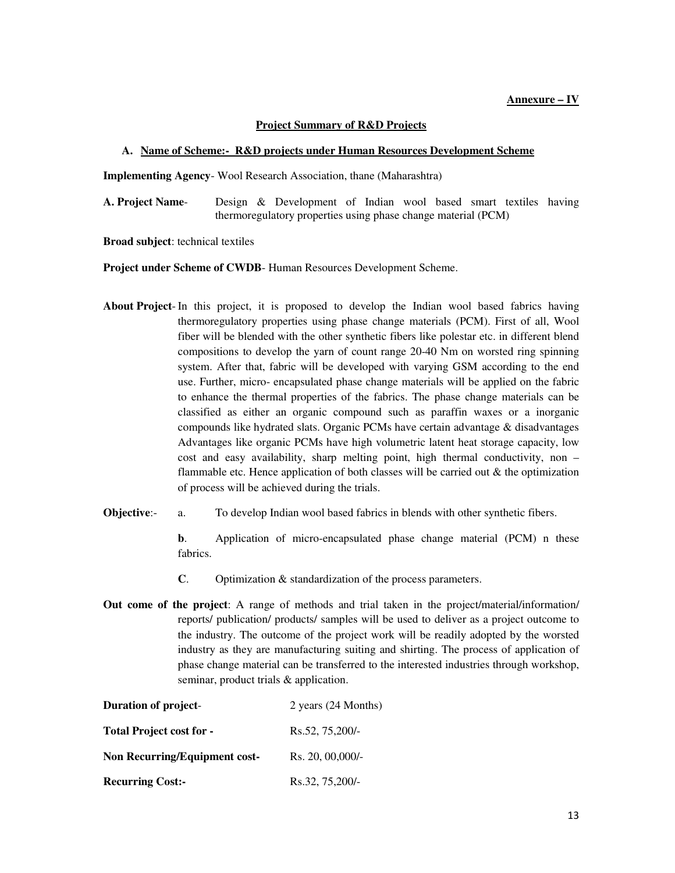#### **Annexure – IV**

#### **Project Summary of R&D Projects**

#### **A. Name of Scheme:- R&D projects under Human Resources Development Scheme**

**Implementing Agency**- Wool Research Association, thane (Maharashtra)

**A. Project Name**- Design & Development of Indian wool based smart textiles having thermoregulatory properties using phase change material (PCM)

**Broad subject**: technical textiles

**Project under Scheme of CWDB**- Human Resources Development Scheme.

- **About Project** In this project, it is proposed to develop the Indian wool based fabrics having thermoregulatory properties using phase change materials (PCM). First of all, Wool fiber will be blended with the other synthetic fibers like polestar etc. in different blend compositions to develop the yarn of count range 20-40 Nm on worsted ring spinning system. After that, fabric will be developed with varying GSM according to the end use. Further, micro- encapsulated phase change materials will be applied on the fabric to enhance the thermal properties of the fabrics. The phase change materials can be classified as either an organic compound such as paraffin waxes or a inorganic compounds like hydrated slats. Organic PCMs have certain advantage & disadvantages Advantages like organic PCMs have high volumetric latent heat storage capacity, low cost and easy availability, sharp melting point, high thermal conductivity, non – flammable etc. Hence application of both classes will be carried out  $\&$  the optimization of process will be achieved during the trials.
- **Objective:** a. To develop Indian wool based fabrics in blends with other synthetic fibers.

**b.** Application of micro-encapsulated phase change material (PCM) n these fabrics.

- **C**. Optimization & standardization of the process parameters.
- **Out come of the project**: A range of methods and trial taken in the project/material/information/ reports/ publication/ products/ samples will be used to deliver as a project outcome to the industry. The outcome of the project work will be readily adopted by the worsted industry as they are manufacturing suiting and shirting. The process of application of phase change material can be transferred to the interested industries through workshop, seminar, product trials & application.

| <b>Duration of project-</b>     | 2 years (24 Months) |
|---------------------------------|---------------------|
| <b>Total Project cost for -</b> | Rs.52, 75,200/-     |
| Non Recurring/Equipment cost-   | Rs. 20, 00,000/     |
| <b>Recurring Cost:-</b>         | Rs.32, 75,200/-     |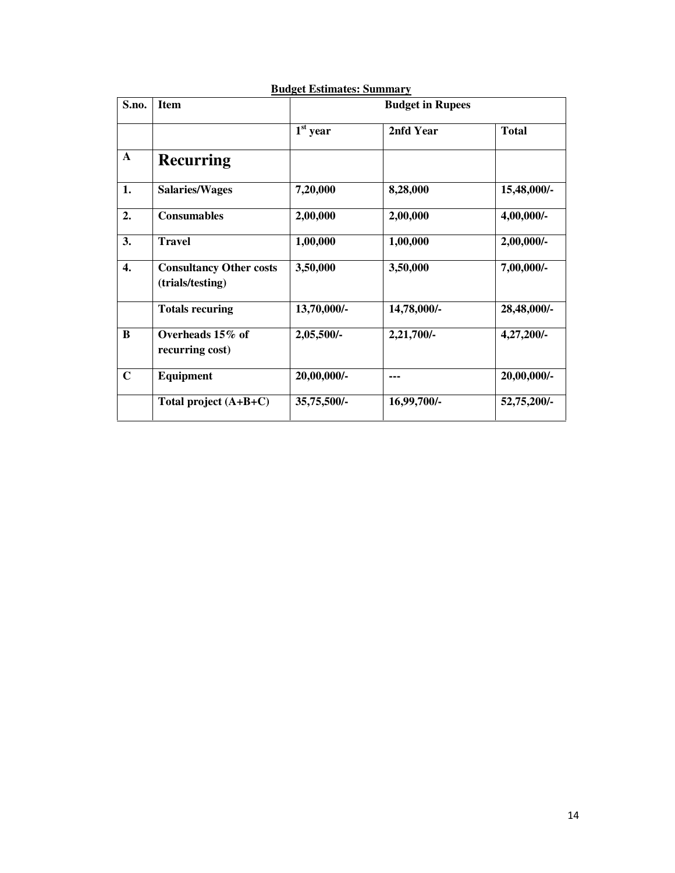| S.no.        | <b>Item</b>                                        | <b>Budget in Rupees</b> |             |              |  |
|--------------|----------------------------------------------------|-------------------------|-------------|--------------|--|
|              |                                                    | $1st$ year              | 2nfd Year   | <b>Total</b> |  |
| $\mathbf{A}$ | <b>Recurring</b>                                   |                         |             |              |  |
| 1.           | <b>Salaries/Wages</b>                              | 7,20,000                | 8,28,000    | 15,48,000/-  |  |
| 2.           | <b>Consumables</b>                                 | 2,00,000                | 2,00,000    | 4,00,000/-   |  |
| 3.           | <b>Travel</b>                                      | 1,00,000                | 1,00,000    | 2,00,000/-   |  |
| 4.           | <b>Consultancy Other costs</b><br>(trials/testing) | 3,50,000                | 3,50,000    | 7,00,000/-   |  |
|              | <b>Totals recuring</b>                             | 13,70,000/-             | 14,78,000/- | 28,48,000/-  |  |
| B            | Overheads 15% of<br>recurring cost)                | 2,05,500/-              | 2,21,700/-  | 4,27,200/-   |  |
| $\mathbf C$  | Equipment                                          | 20,00,000/-             | ---         | 20,00,000/-  |  |
|              | Total project $(A+B+C)$                            | 35,75,500/-             | 16,99,700/- | 52,75,200/-  |  |

### **Budget Estimates: Summary**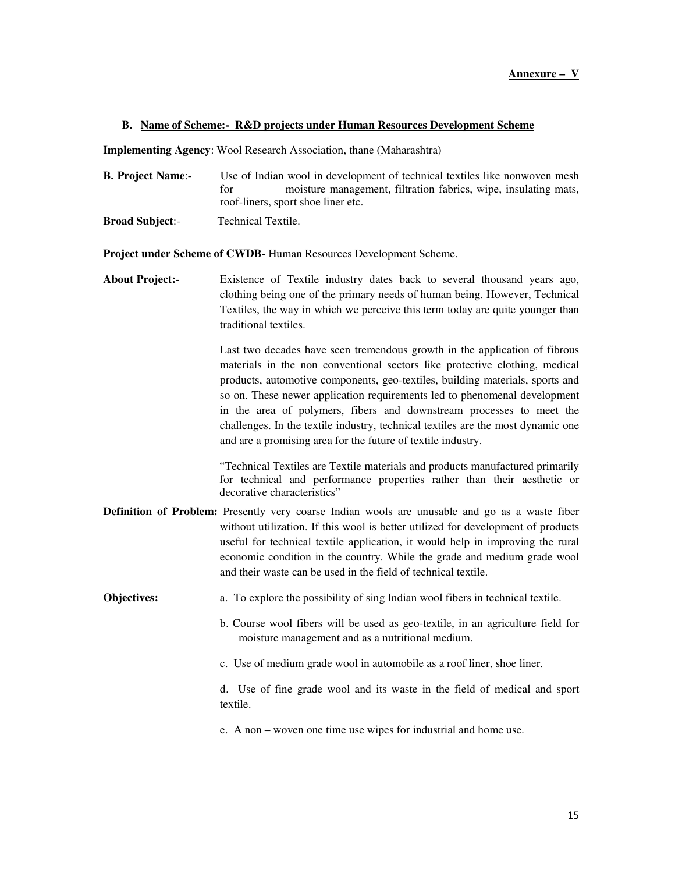#### **B. Name of Scheme:- R&D projects under Human Resources Development Scheme**

**Implementing Agency**: Wool Research Association, thane (Maharashtra)

- **B. Project Name:-** Use of Indian wool in development of technical textiles like nonwoven mesh for moisture management, filtration fabrics, wipe, insulating mats, roof-liners, sport shoe liner etc.
- **Broad Subject**:- Technical Textile.

**Project under Scheme of CWDB**- Human Resources Development Scheme.

**About Project:**- Existence of Textile industry dates back to several thousand years ago, clothing being one of the primary needs of human being. However, Technical Textiles, the way in which we perceive this term today are quite younger than traditional textiles.

> Last two decades have seen tremendous growth in the application of fibrous materials in the non conventional sectors like protective clothing, medical products, automotive components, geo-textiles, building materials, sports and so on. These newer application requirements led to phenomenal development in the area of polymers, fibers and downstream processes to meet the challenges. In the textile industry, technical textiles are the most dynamic one and are a promising area for the future of textile industry.

> "Technical Textiles are Textile materials and products manufactured primarily for technical and performance properties rather than their aesthetic or decorative characteristics"

- **Definition of Problem:** Presently very coarse Indian wools are unusable and go as a waste fiber without utilization. If this wool is better utilized for development of products useful for technical textile application, it would help in improving the rural economic condition in the country. While the grade and medium grade wool and their waste can be used in the field of technical textile.
- **Objectives:** a. To explore the possibility of sing Indian wool fibers in technical textile.
	- b. Course wool fibers will be used as geo-textile, in an agriculture field for moisture management and as a nutritional medium.
	- c. Use of medium grade wool in automobile as a roof liner, shoe liner.

 d. Use of fine grade wool and its waste in the field of medical and sport textile.

e. A non – woven one time use wipes for industrial and home use.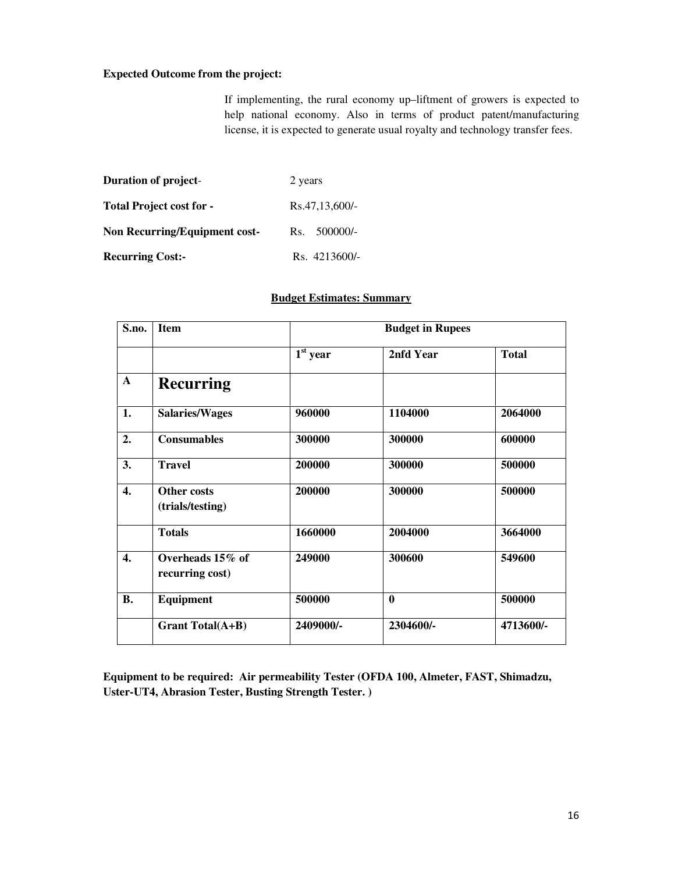#### **Expected Outcome from the project:**

If implementing, the rural economy up–liftment of growers is expected to help national economy. Also in terms of product patent/manufacturing license, it is expected to generate usual royalty and technology transfer fees.

| <b>Duration of project-</b>          | 2 years        |  |  |
|--------------------------------------|----------------|--|--|
| <b>Total Project cost for -</b>      | Rs.47,13,600/- |  |  |
| <b>Non Recurring/Equipment cost-</b> | Rs. 500000/-   |  |  |
| <b>Recurring Cost:-</b>              | Rs. 4213600/-  |  |  |

#### **Budget Estimates: Summary**

| S.no.            | <b>Item</b>                            | <b>Budget in Rupees</b> |              |              |  |
|------------------|----------------------------------------|-------------------------|--------------|--------------|--|
|                  |                                        | $1st$ year              | 2nfd Year    | <b>Total</b> |  |
| $\mathbf{A}$     | <b>Recurring</b>                       |                         |              |              |  |
| 1.               | <b>Salaries/Wages</b>                  | 960000                  | 1104000      | 2064000      |  |
| 2.               | <b>Consumables</b>                     | 300000                  | 300000       | 600000       |  |
| 3.               | <b>Travel</b>                          | 200000                  | 300000       | 500000       |  |
| 4.               | <b>Other costs</b><br>(trials/testing) | 200000                  | 300000       | 500000       |  |
|                  | <b>Totals</b>                          | 1660000                 | 2004000      | 3664000      |  |
| $\overline{4}$ . | Overheads 15% of<br>recurring cost)    | 249000                  | 300600       | 549600       |  |
| <b>B.</b>        | Equipment                              | 500000                  | $\mathbf{0}$ | 500000       |  |
|                  | <b>Grant Total(A+B)</b>                | 2409000/-               | 2304600/-    | 4713600/-    |  |

**Equipment to be required: Air permeability Tester (OFDA 100, Almeter, FAST, Shimadzu, Uster-UT4, Abrasion Tester, Busting Strength Tester. )**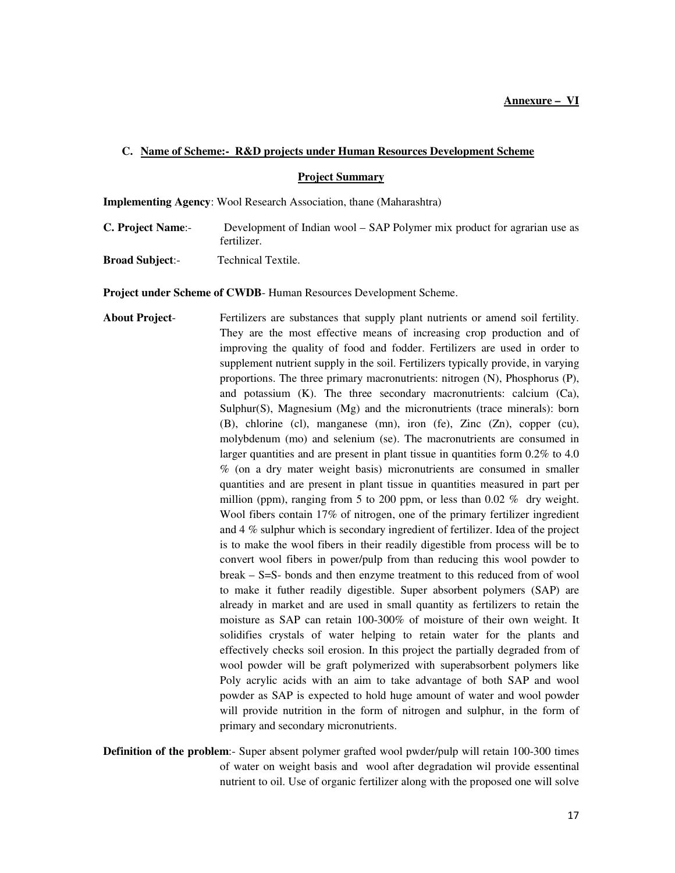#### **C. Name of Scheme:- R&D projects under Human Resources Development Scheme**

**Project Summary**

**Implementing Agency**: Wool Research Association, thane (Maharashtra)

- **C. Project Name**:- Development of Indian wool SAP Polymer mix product for agrarian use as fertilizer.
- **Broad Subject**:- Technical Textile.

**Project under Scheme of CWDB**- Human Resources Development Scheme.

- **About Project** Fertilizers are substances that supply plant nutrients or amend soil fertility. They are the most effective means of increasing crop production and of improving the quality of food and fodder. Fertilizers are used in order to supplement nutrient supply in the soil. Fertilizers typically provide, in varying proportions. The three primary macronutrients: nitrogen (N), Phosphorus (P), and potassium (K). The three secondary macronutrients: calcium (Ca), Sulphur(S), Magnesium (Mg) and the micronutrients (trace minerals): born (B), chlorine (cl), manganese (mn), iron (fe), Zinc (Zn), copper (cu), molybdenum (mo) and selenium (se). The macronutrients are consumed in larger quantities and are present in plant tissue in quantities form  $0.2\%$  to 4.0 % (on a dry mater weight basis) micronutrients are consumed in smaller quantities and are present in plant tissue in quantities measured in part per million (ppm), ranging from 5 to 200 ppm, or less than 0.02  $%$  dry weight. Wool fibers contain 17% of nitrogen, one of the primary fertilizer ingredient and 4 % sulphur which is secondary ingredient of fertilizer. Idea of the project is to make the wool fibers in their readily digestible from process will be to convert wool fibers in power/pulp from than reducing this wool powder to break – S=S- bonds and then enzyme treatment to this reduced from of wool to make it futher readily digestible. Super absorbent polymers (SAP) are already in market and are used in small quantity as fertilizers to retain the moisture as SAP can retain 100-300% of moisture of their own weight. It solidifies crystals of water helping to retain water for the plants and effectively checks soil erosion. In this project the partially degraded from of wool powder will be graft polymerized with superabsorbent polymers like Poly acrylic acids with an aim to take advantage of both SAP and wool powder as SAP is expected to hold huge amount of water and wool powder will provide nutrition in the form of nitrogen and sulphur, in the form of primary and secondary micronutrients.
- **Definition of the problem**:- Super absent polymer grafted wool pwder/pulp will retain 100-300 times of water on weight basis and wool after degradation wil provide essentinal nutrient to oil. Use of organic fertilizer along with the proposed one will solve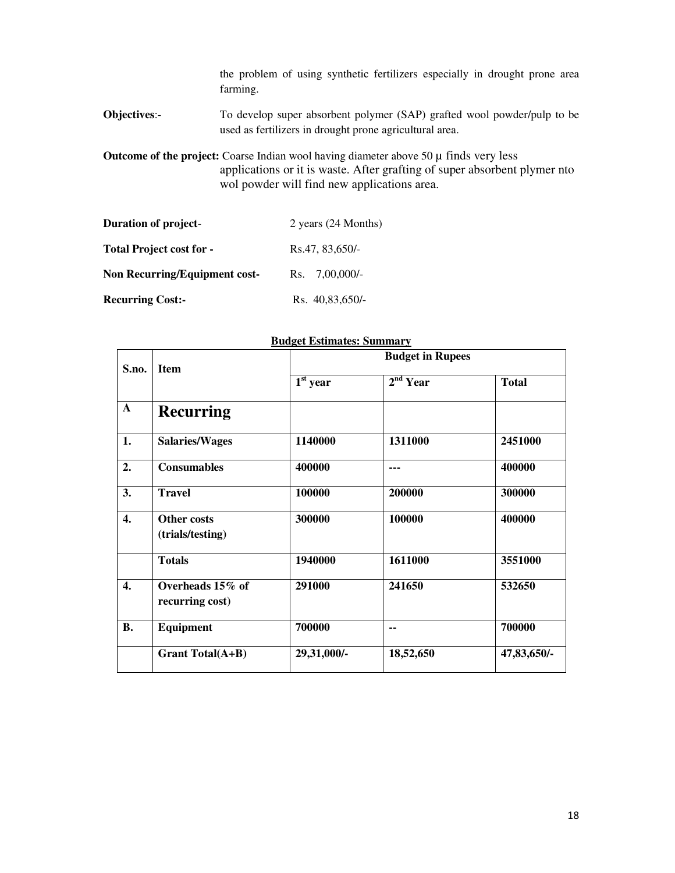the problem of using synthetic fertilizers especially in drought prone area farming.

**Objectives**:- To develop super absorbent polymer (SAP) grafted wool powder/pulp to be used as fertilizers in drought prone agricultural area.

**Outcome of the project:** Coarse Indian wool having diameter above 50 µ finds very less applications or it is waste. After grafting of super absorbent plymer nto wol powder will find new applications area.

| <b>Duration of project-</b>          | 2 years (24 Months)     |  |  |
|--------------------------------------|-------------------------|--|--|
| <b>Total Project cost for -</b>      | Rs.47, 83,650/-         |  |  |
| <b>Non Recurring/Equipment cost-</b> | $Rs. \quad 7,00,000/$ - |  |  |
| <b>Recurring Cost:-</b>              | Rs. 40,83,650/-         |  |  |

| S.no.        | <b>Item</b>                         | <b>Budget in Rupees</b> |                      |              |  |
|--------------|-------------------------------------|-------------------------|----------------------|--------------|--|
|              |                                     | $1st$ year              | 2 <sup>nd</sup> Year | <b>Total</b> |  |
| $\mathbf{A}$ | <b>Recurring</b>                    |                         |                      |              |  |
| 1.           | <b>Salaries/Wages</b>               | 1140000                 | 1311000              | 2451000      |  |
| 2.           | <b>Consumables</b>                  | 400000                  | $- - -$              | 400000       |  |
| 3.           | <b>Travel</b>                       | 100000                  | 200000               | 300000       |  |
| 4.           | Other costs<br>(trials/testing)     | 300000                  | 100000               | 400000       |  |
|              | <b>Totals</b>                       | 1940000                 | 1611000              | 3551000      |  |
| 4.           | Overheads 15% of<br>recurring cost) | 291000                  | 241650               | 532650       |  |
| <b>B.</b>    | <b>Equipment</b>                    | 700000                  | $\blacksquare$       | 700000       |  |
|              | <b>Grant Total(A+B)</b>             | 29,31,000/-             | 18,52,650            | 47,83,650/-  |  |

#### **Budget Estimates: Summary**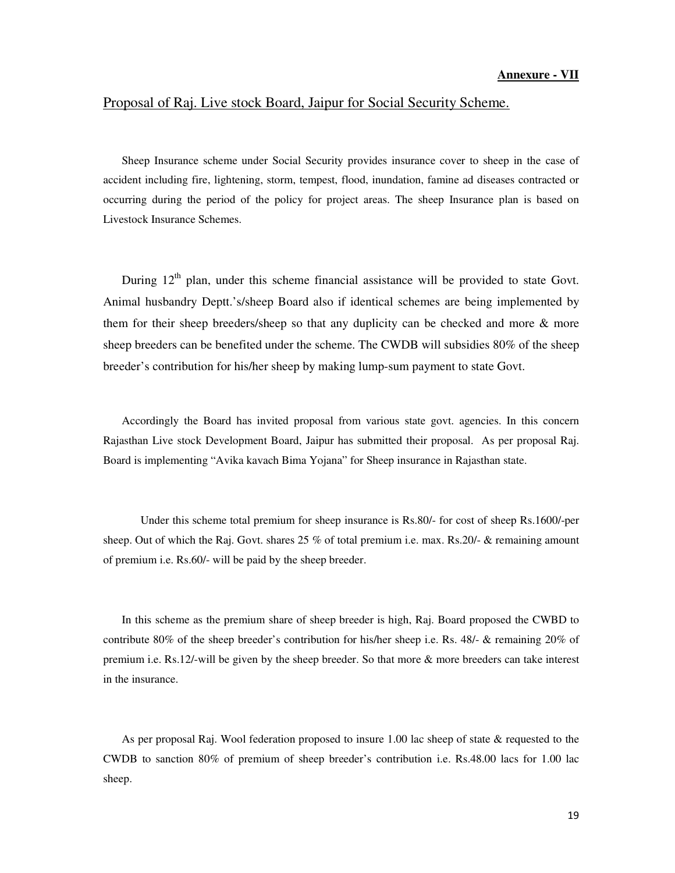### Proposal of Raj. Live stock Board, Jaipur for Social Security Scheme.

Sheep Insurance scheme under Social Security provides insurance cover to sheep in the case of accident including fire, lightening, storm, tempest, flood, inundation, famine ad diseases contracted or occurring during the period of the policy for project areas. The sheep Insurance plan is based on Livestock Insurance Schemes.

During  $12<sup>th</sup>$  plan, under this scheme financial assistance will be provided to state Govt. Animal husbandry Deptt.'s/sheep Board also if identical schemes are being implemented by them for their sheep breeders/sheep so that any duplicity can be checked and more & more sheep breeders can be benefited under the scheme. The CWDB will subsidies 80% of the sheep breeder's contribution for his/her sheep by making lump-sum payment to state Govt.

Accordingly the Board has invited proposal from various state govt. agencies. In this concern Rajasthan Live stock Development Board, Jaipur has submitted their proposal. As per proposal Raj. Board is implementing "Avika kavach Bima Yojana" for Sheep insurance in Rajasthan state.

 Under this scheme total premium for sheep insurance is Rs.80/- for cost of sheep Rs.1600/-per sheep. Out of which the Raj. Govt. shares 25 % of total premium i.e. max. Rs.20/- & remaining amount of premium i.e. Rs.60/- will be paid by the sheep breeder.

In this scheme as the premium share of sheep breeder is high, Raj. Board proposed the CWBD to contribute 80% of the sheep breeder's contribution for his/her sheep i.e. Rs. 48/- & remaining 20% of premium i.e. Rs.12/-will be given by the sheep breeder. So that more & more breeders can take interest in the insurance.

As per proposal Raj. Wool federation proposed to insure 1.00 lac sheep of state & requested to the CWDB to sanction 80% of premium of sheep breeder's contribution i.e. Rs.48.00 lacs for 1.00 lac sheep.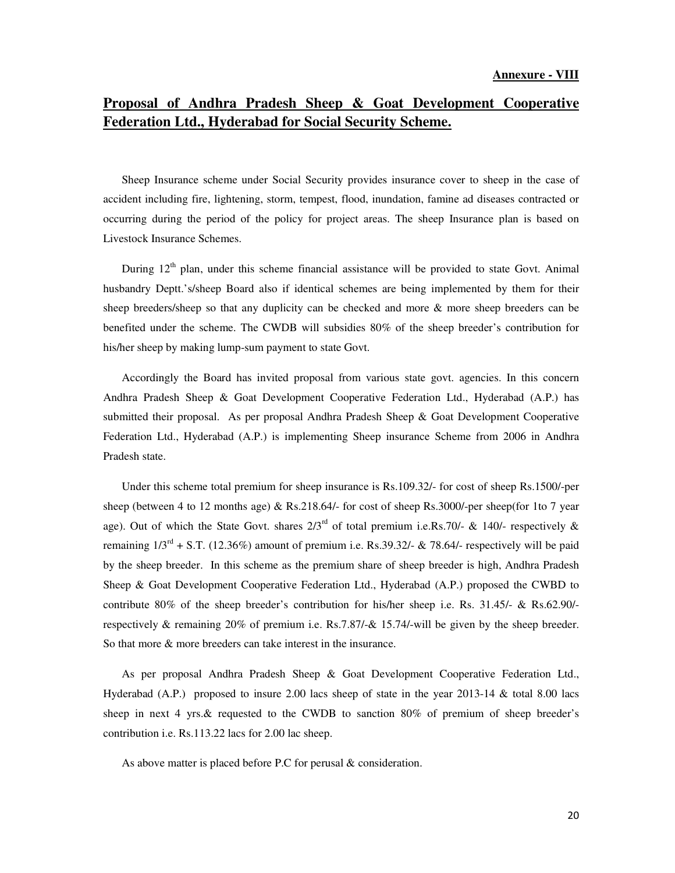## **Proposal of Andhra Pradesh Sheep & Goat Development Cooperative Federation Ltd., Hyderabad for Social Security Scheme.**

Sheep Insurance scheme under Social Security provides insurance cover to sheep in the case of accident including fire, lightening, storm, tempest, flood, inundation, famine ad diseases contracted or occurring during the period of the policy for project areas. The sheep Insurance plan is based on Livestock Insurance Schemes.

During  $12<sup>th</sup>$  plan, under this scheme financial assistance will be provided to state Govt. Animal husbandry Deptt.'s/sheep Board also if identical schemes are being implemented by them for their sheep breeders/sheep so that any duplicity can be checked and more & more sheep breeders can be benefited under the scheme. The CWDB will subsidies 80% of the sheep breeder's contribution for his/her sheep by making lump-sum payment to state Govt.

Accordingly the Board has invited proposal from various state govt. agencies. In this concern Andhra Pradesh Sheep & Goat Development Cooperative Federation Ltd., Hyderabad (A.P.) has submitted their proposal. As per proposal Andhra Pradesh Sheep & Goat Development Cooperative Federation Ltd., Hyderabad (A.P.) is implementing Sheep insurance Scheme from 2006 in Andhra Pradesh state.

Under this scheme total premium for sheep insurance is Rs.109.32/- for cost of sheep Rs.1500/-per sheep (between 4 to 12 months age) & Rs.218.64/- for cost of sheep Rs.3000/-per sheep(for 1to 7 year age). Out of which the State Govt. shares  $2/3^{rd}$  of total premium i.e.Rs.70/- & 140/- respectively & remaining  $1/3^{\text{rd}}$  + S.T. (12.36%) amount of premium i.e. Rs.39.32/- & 78.64/- respectively will be paid by the sheep breeder. In this scheme as the premium share of sheep breeder is high, Andhra Pradesh Sheep & Goat Development Cooperative Federation Ltd., Hyderabad (A.P.) proposed the CWBD to contribute 80% of the sheep breeder's contribution for his/her sheep i.e. Rs. 31.45/- & Rs.62.90/ respectively & remaining 20% of premium i.e. Rs.7.87/-& 15.74/-will be given by the sheep breeder. So that more & more breeders can take interest in the insurance.

As per proposal Andhra Pradesh Sheep & Goat Development Cooperative Federation Ltd., Hyderabad (A.P.) proposed to insure 2.00 lacs sheep of state in the year 2013-14 & total 8.00 lacs sheep in next 4 yrs.& requested to the CWDB to sanction 80% of premium of sheep breeder's contribution i.e. Rs.113.22 lacs for 2.00 lac sheep.

As above matter is placed before P.C for perusal & consideration.